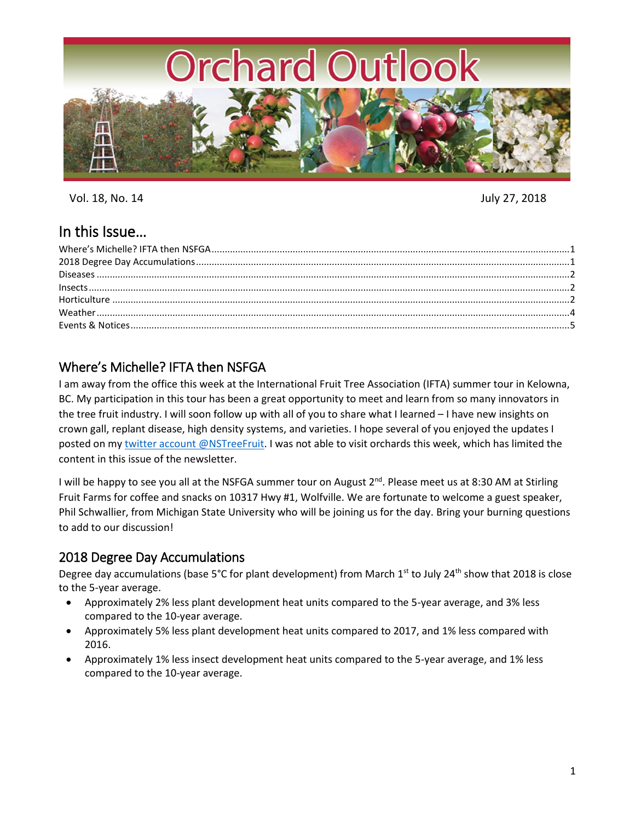

Vol. 18, No. 14 July 27, 2018

# In this Issue…

# <span id="page-0-0"></span>Where's Michelle? IFTA then NSFGA

I am away from the office this week at the International Fruit Tree Association (IFTA) summer tour in Kelowna, BC. My participation in this tour has been a great opportunity to meet and learn from so many innovators in the tree fruit industry. I will soon follow up with all of you to share what I learned – I have new insights on crown gall, replant disease, high density systems, and varieties. I hope several of you enjoyed the updates I posted on my twitter [account @NSTreeFruit.](https://twitter.com/NSTreeFruit?lang=en) I was not able to visit orchards this week, which has limited the content in this issue of the newsletter.

I will be happy to see you all at the NSFGA summer tour on August 2<sup>nd</sup>. Please meet us at 8:30 AM at Stirling Fruit Farms for coffee and snacks on 10317 Hwy #1, Wolfville. We are fortunate to welcome a guest speaker, Phil Schwallier, from Michigan State University who will be joining us for the day. Bring your burning questions to add to our discussion!

# <span id="page-0-1"></span>2018 Degree Day Accumulations

Degree day accumulations (base 5°C for plant development) from March  $1<sup>st</sup>$  to July 24<sup>th</sup> show that 2018 is close to the 5-year average.

- Approximately 2% less plant development heat units compared to the 5-year average, and 3% less compared to the 10-year average.
- Approximately 5% less plant development heat units compared to 2017, and 1% less compared with 2016.
- Approximately 1% less insect development heat units compared to the 5-year average, and 1% less compared to the 10-year average.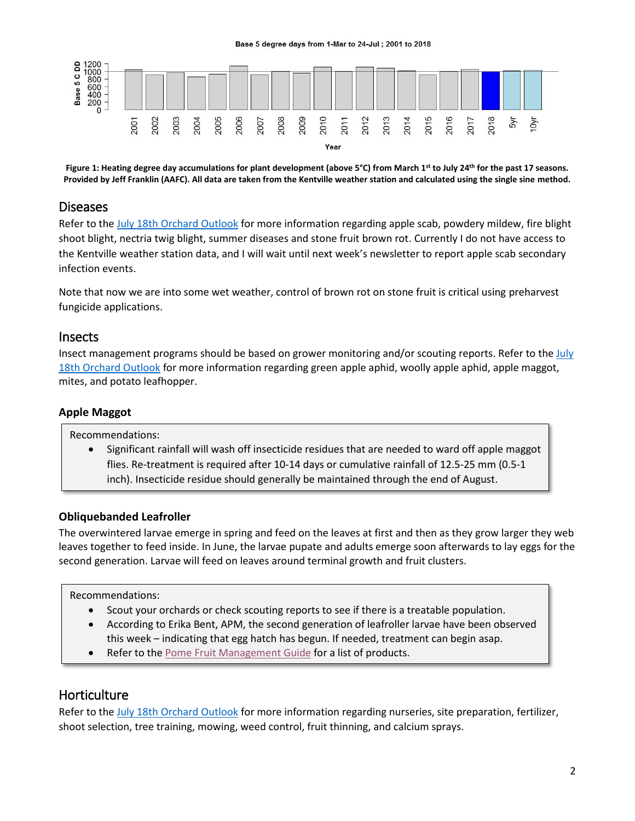

**Figure 1: Heating degree day accumulations for plant development (above 5°C) from March 1st to July 24th for the past 17 seasons. Provided by Jeff Franklin (AAFC). All data are taken from the Kentville weather station and calculated using the single sine method.**

## <span id="page-1-0"></span>Diseases

Refer to th[e July 18th Orchard Outlook](https://perennia.us4.list-manage.com/track/click?u=642ec925a6b70139cd668d4b0&id=e5c8880946&e=ded1afaffd) for more information regarding apple scab, powdery mildew, fire blight shoot blight, nectria twig blight, summer diseases and stone fruit brown rot. Currently I do not have access to the Kentville weather station data, and I will wait until next week's newsletter to report apple scab secondary infection events.

Note that now we are into some wet weather, control of brown rot on stone fruit is critical using preharvest fungicide applications.

## <span id="page-1-1"></span>Insects

Insect management programs should be based on grower monitoring and/or scouting reports. Refer to th[e July](https://perennia.us4.list-manage.com/track/click?u=642ec925a6b70139cd668d4b0&id=e5c8880946&e=ded1afaffd)  [18th Orchard Outlook](https://perennia.us4.list-manage.com/track/click?u=642ec925a6b70139cd668d4b0&id=e5c8880946&e=ded1afaffd) for more information regarding green apple aphid, woolly apple aphid, apple maggot, mites, and potato leafhopper.

## **Apple Maggot**

Recommendations:

 Significant rainfall will wash off insecticide residues that are needed to ward off apple maggot flies. Re-treatment is required after 10-14 days or cumulative rainfall of 12.5-25 mm (0.5-1 inch). Insecticide residue should generally be maintained through the end of August.

## **Obliquebanded Leafroller**

The overwintered larvae emerge in spring and feed on the leaves at first and then as they grow larger they web leaves together to feed inside. In June, the larvae pupate and adults emerge soon afterwards to lay eggs for the second generation. Larvae will feed on leaves around terminal growth and fruit clusters.

Recommendations:

- Scout your orchards or check scouting reports to see if there is a treatable population.
- According to Erika Bent, APM, the second generation of leafroller larvae have been observed this week – indicating that egg hatch has begun. If needed, treatment can begin asap.
- Refer to the [Pome Fruit Management Guide](http://www.perennia.ca/wp-content/uploads/2018/04/pome-fruit-spray-guide-2018.pdf) for a list of products.

# <span id="page-1-2"></span>**Horticulture**

Refer to th[e July 18th Orchard Outlook](https://perennia.us4.list-manage.com/track/click?u=642ec925a6b70139cd668d4b0&id=e5c8880946&e=ded1afaffd) for more information regarding nurseries, site preparation, fertilizer, shoot selection, tree training, mowing, weed control, fruit thinning, and calcium sprays.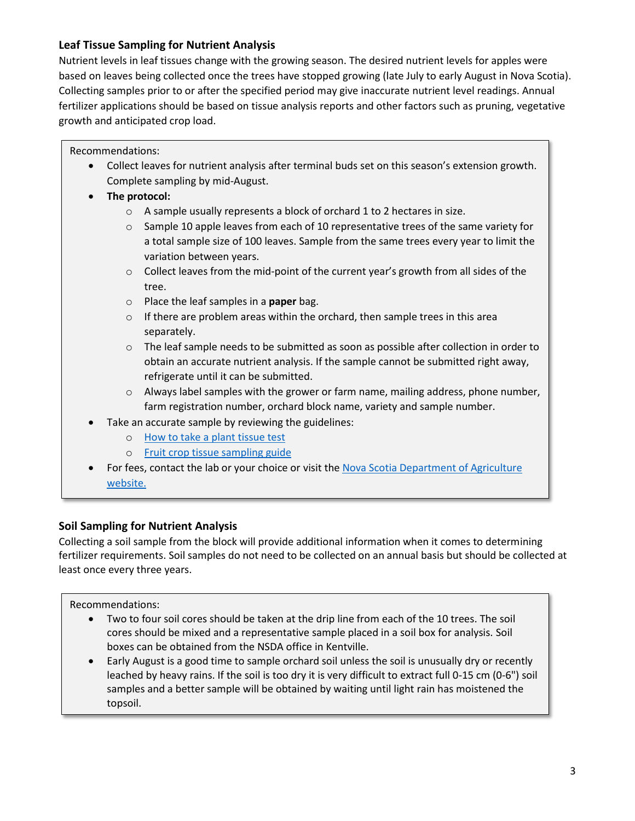## **Leaf Tissue Sampling for Nutrient Analysis**

Nutrient levels in leaf tissues change with the growing season. The desired nutrient levels for apples were based on leaves being collected once the trees have stopped growing (late July to early August in Nova Scotia). Collecting samples prior to or after the specified period may give inaccurate nutrient level readings. Annual fertilizer applications should be based on tissue analysis reports and other factors such as pruning, vegetative growth and anticipated crop load.

Recommendations:

- Collect leaves for nutrient analysis after terminal buds set on this season's extension growth. Complete sampling by mid-August.
- **The protocol:**
	- o A sample usually represents a block of orchard 1 to 2 hectares in size.
	- $\circ$  Sample 10 apple leaves from each of 10 representative trees of the same variety for a total sample size of 100 leaves. Sample from the same trees every year to limit the variation between years.
	- o Collect leaves from the mid-point of the current year's growth from all sides of the tree.
	- o Place the leaf samples in a **paper** bag.
	- o If there are problem areas within the orchard, then sample trees in this area separately.
	- o The leaf sample needs to be submitted as soon as possible after collection in order to obtain an accurate nutrient analysis. If the sample cannot be submitted right away, refrigerate until it can be submitted.
	- o Always label samples with the grower or farm name, mailing address, phone number, farm registration number, orchard block name, variety and sample number.
- Take an accurate sample by reviewing the guidelines:
	- o [How to take a plant tissue test](https://novascotia.ca/agri/documents/lab-services/analytical-lab-howto-planttissue.pdf)
	- o [Fruit crop tissue sampling guide](https://novascotia.ca/agri/documents/lab-services/analytical-lab-fruitcroptissue.pdf)
- For fees, contact the lab or your choice or visit the [Nova Scotia Department of Agriculture](https://novascotia.ca/agri/documents/lab-services/analytical-lab-fees.pdf) [website.](https://novascotia.ca/agri/documents/lab-services/analytical-lab-fees.pdf)

## **Soil Sampling for Nutrient Analysis**

Collecting a soil sample from the block will provide additional information when it comes to determining fertilizer requirements. Soil samples do not need to be collected on an annual basis but should be collected at least once every three years.

Recommendations:

- Two to four soil cores should be taken at the drip line from each of the 10 trees. The soil cores should be mixed and a representative sample placed in a soil box for analysis. Soil boxes can be obtained from the NSDA office in Kentville.
- Early August is a good time to sample orchard soil unless the soil is unusually dry or recently leached by heavy rains. If the soil is too dry it is very difficult to extract full 0-15 cm (0-6") soil samples and a better sample will be obtained by waiting until light rain has moistened the topsoil.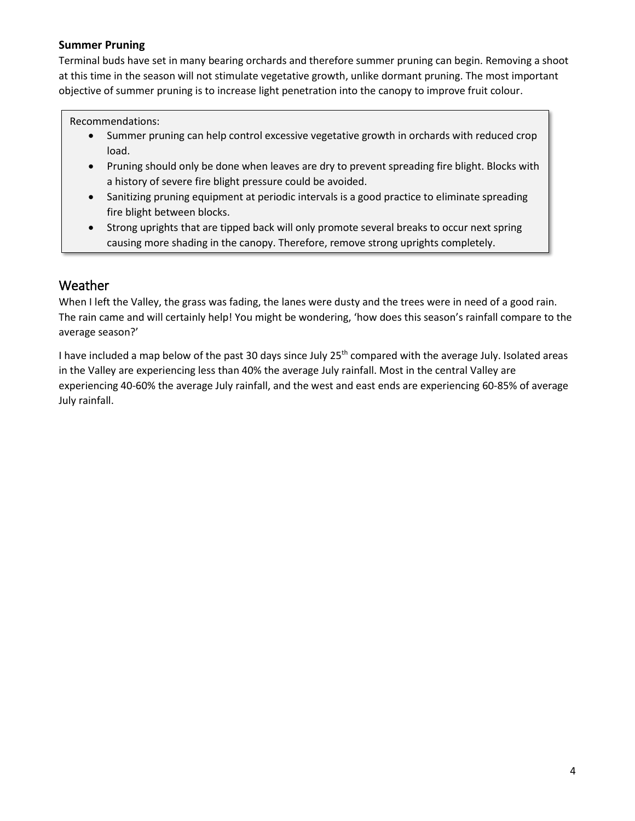### **Summer Pruning**

Terminal buds have set in many bearing orchards and therefore summer pruning can begin. Removing a shoot at this time in the season will not stimulate vegetative growth, unlike dormant pruning. The most important objective of summer pruning is to increase light penetration into the canopy to improve fruit colour.

#### Recommendations:

- Summer pruning can help control excessive vegetative growth in orchards with reduced crop load.
- Pruning should only be done when leaves are dry to prevent spreading fire blight. Blocks with a history of severe fire blight pressure could be avoided.
- Sanitizing pruning equipment at periodic intervals is a good practice to eliminate spreading fire blight between blocks.
- Strong uprights that are tipped back will only promote several breaks to occur next spring causing more shading in the canopy. Therefore, remove strong uprights completely.

## <span id="page-3-0"></span>Weather

When I left the Valley, the grass was fading, the lanes were dusty and the trees were in need of a good rain. The rain came and will certainly help! You might be wondering, 'how does this season's rainfall compare to the average season?'

I have included a map below of the past 30 days since July 25<sup>th</sup> compared with the average July. Isolated areas in the Valley are experiencing less than 40% the average July rainfall. Most in the central Valley are experiencing 40-60% the average July rainfall, and the west and east ends are experiencing 60-85% of average July rainfall.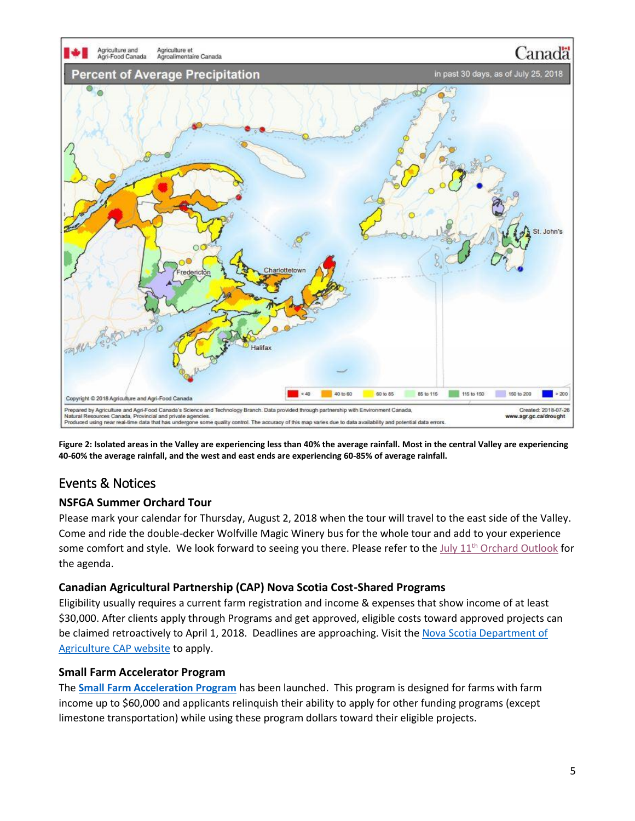

**Figure 2: Isolated areas in the Valley are experiencing less than 40% the average rainfall. Most in the central Valley are experiencing 40-60% the average rainfall, and the west and east ends are experiencing 60-85% of average rainfall.**

# <span id="page-4-0"></span>Events & Notices

## **NSFGA Summer Orchard Tour**

Please mark your calendar for Thursday, August 2, 2018 when the tour will travel to the east side of the Valley. Come and ride the double-decker Wolfville Magic Winery bus for the whole tour and add to your experience some comfort and style. We look forward to seeing you there. Please refer to the July 11<sup>th</sup> [Orchard Outlook](http://www.perennia.ca/wp-content/uploads/2018/03/Orchard-Outlook-July-11-2018.pdf) for the agenda.

## **Canadian Agricultural Partnership (CAP) Nova Scotia Cost-Shared Programs**

Eligibility usually requires a current farm registration and income & expenses that show income of at least \$30,000. After clients apply through Programs and get approved, eligible costs toward approved projects can be claimed retroactively to April 1, 2018. Deadlines are approaching. Visit the [Nova Scotia Department of](https://novascotia.ca/canadian-agricultural-partnership/)  [Agriculture CAP website](https://novascotia.ca/canadian-agricultural-partnership/) to apply.

## **Small Farm Accelerator Program**

The **[Small Farm Acceleration Program](https://novascotia.ca/programs/small-farm-acceleration/)** has been launched. This program is designed for farms with farm income up to \$60,000 and applicants relinquish their ability to apply for other funding programs (except limestone transportation) while using these program dollars toward their eligible projects.